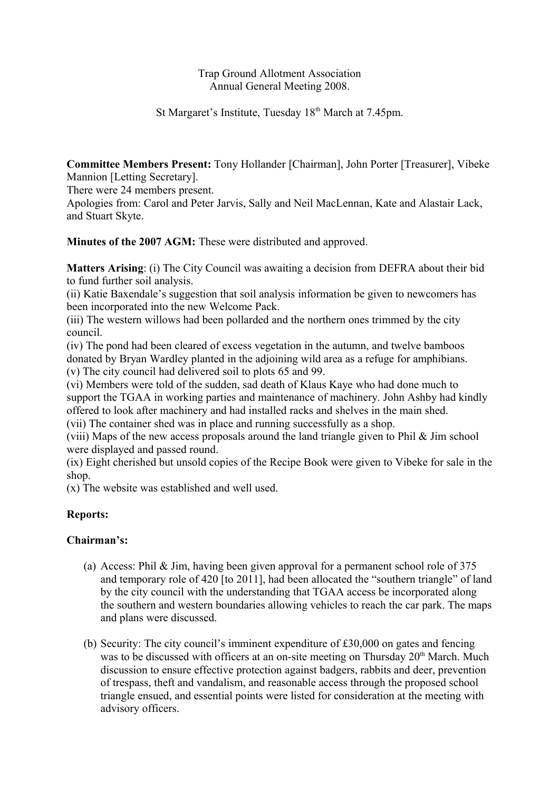### Trap Ground Allotment Association Annual General Meeting 2008.

St Margaret's Institute, Tuesday 18<sup>th</sup> March at 7.45pm.

**Committee Members Present:** Tony Hollander [Chairman], John Porter [Treasurer], Vibeke Mannion [Letting Secretary].

There were 24 members present.

Apologies from: Carol and Peter Jarvis, Sally and Neil MacLennan, Kate and Alastair Lack, and Stuart Skyte.

**Minutes of the 2007 AGM:** These were distributed and approved.

**Matters Arising**: (i) The City Council was awaiting a decision from DEFRA about their bid to fund further soil analysis.

(ii) Katie Baxendale's suggestion that soil analysis information be given to newcomers has been incorporated into the new Welcome Pack.

(iii) The western willows had been pollarded and the northern ones trimmed by the city council.

(iv) The pond had been cleared of excess vegetation in the autumn, and twelve bamboos donated by Bryan Wardley planted in the adjoining wild area as a refuge for amphibians.

(v) The city council had delivered soil to plots 65 and 99.

(vi) Members were told of the sudden, sad death of Klaus Kaye who had done much to support the TGAA in working parties and maintenance of machinery. John Ashby had kindly offered to look after machinery and had installed racks and shelves in the main shed. (vii) The container shed was in place and running successfully as a shop.

(viii) Maps of the new access proposals around the land triangle given to Phil  $\&$  Jim school were displayed and passed round.

(ix) Eight cherished but unsold copies of the Recipe Book were given to Vibeke for sale in the shop.

(x) The website was established and well used.

# **Reports:**

# **Chairman's:**

- (a) Access: Phil & Jim, having been given approval for a permanent school role of 375 and temporary role of 420 [to 2011], had been allocated the "southern triangle" of land by the city council with the understanding that TGAA access be incorporated along the southern and western boundaries allowing vehicles to reach the car park. The maps and plans were discussed.
- (b) Security: The city council's imminent expenditure of £30,000 on gates and fencing was to be discussed with officers at an on-site meeting on Thursday 20<sup>th</sup> March. Much discussion to ensure effective protection against badgers, rabbits and deer, prevention of trespass, theft and vandalism, and reasonable access through the proposed school triangle ensued, and essential points were listed for consideration at the meeting with advisory officers.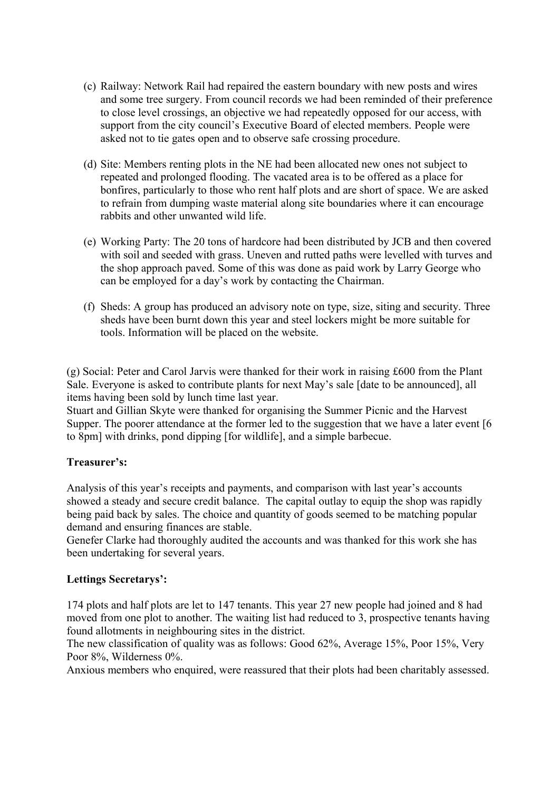- (c) Railway: Network Rail had repaired the eastern boundary with new posts and wires and some tree surgery. From council records we had been reminded of their preference to close level crossings, an objective we had repeatedly opposed for our access, with support from the city council's Executive Board of elected members. People were asked not to tie gates open and to observe safe crossing procedure.
- (d) Site: Members renting plots in the NE had been allocated new ones not subject to repeated and prolonged flooding. The vacated area is to be offered as a place for bonfires, particularly to those who rent half plots and are short of space. We are asked to refrain from dumping waste material along site boundaries where it can encourage rabbits and other unwanted wild life.
- (e) Working Party: The 20 tons of hardcore had been distributed by JCB and then covered with soil and seeded with grass. Uneven and rutted paths were levelled with turves and the shop approach paved. Some of this was done as paid work by Larry George who can be employed for a day's work by contacting the Chairman.
- (f) Sheds: A group has produced an advisory note on type, size, siting and security. Three sheds have been burnt down this year and steel lockers might be more suitable for tools. Information will be placed on the website.

(g) Social: Peter and Carol Jarvis were thanked for their work in raising £600 from the Plant Sale. Everyone is asked to contribute plants for next May's sale [date to be announced], all items having been sold by lunch time last year.

Stuart and Gillian Skyte were thanked for organising the Summer Picnic and the Harvest Supper. The poorer attendance at the former led to the suggestion that we have a later event [6] to 8pm] with drinks, pond dipping [for wildlife], and a simple barbecue.

### **Treasurer's:**

Analysis of this year's receipts and payments, and comparison with last year's accounts showed a steady and secure credit balance. The capital outlay to equip the shop was rapidly being paid back by sales. The choice and quantity of goods seemed to be matching popular demand and ensuring finances are stable.

Genefer Clarke had thoroughly audited the accounts and was thanked for this work she has been undertaking for several years.

### **Lettings Secretarys':**

174 plots and half plots are let to 147 tenants. This year 27 new people had joined and 8 had moved from one plot to another. The waiting list had reduced to 3, prospective tenants having found allotments in neighbouring sites in the district.

The new classification of quality was as follows: Good 62%, Average 15%, Poor 15%, Very Poor 8%, Wilderness 0%.

Anxious members who enquired, were reassured that their plots had been charitably assessed.